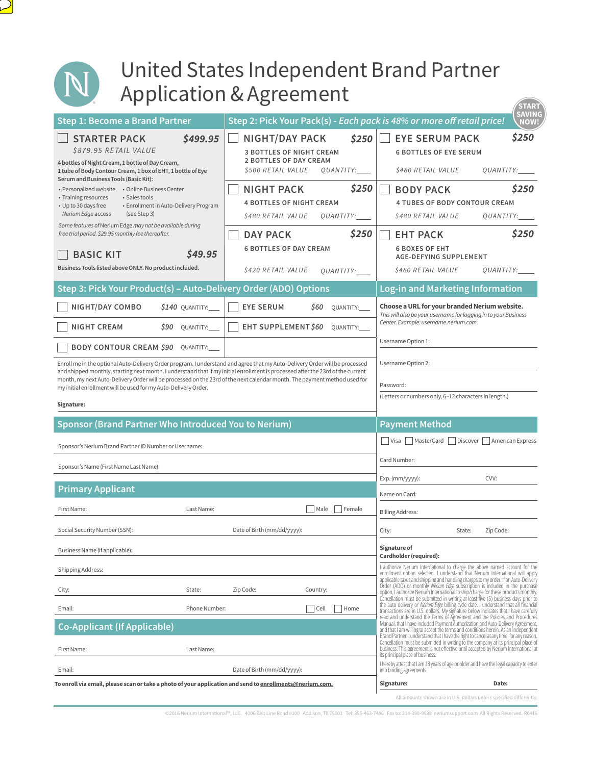

 $\sum$ 

## United States Independent Brand Partner Application & Agreement

| הי יה יידים                                                                                                                                                                                                                                                                                                                                                                                                                                                                                                                                                                                  |                                                                                                                                                                                                                                           | <b>START</b>                                                                                                                                                                                                                                                                                                                                                                                                                                                                                                                                                                                                                                                                                                                                                                                                                                                                   |
|----------------------------------------------------------------------------------------------------------------------------------------------------------------------------------------------------------------------------------------------------------------------------------------------------------------------------------------------------------------------------------------------------------------------------------------------------------------------------------------------------------------------------------------------------------------------------------------------|-------------------------------------------------------------------------------------------------------------------------------------------------------------------------------------------------------------------------------------------|--------------------------------------------------------------------------------------------------------------------------------------------------------------------------------------------------------------------------------------------------------------------------------------------------------------------------------------------------------------------------------------------------------------------------------------------------------------------------------------------------------------------------------------------------------------------------------------------------------------------------------------------------------------------------------------------------------------------------------------------------------------------------------------------------------------------------------------------------------------------------------|
| Step 1: Become a Brand Partner                                                                                                                                                                                                                                                                                                                                                                                                                                                                                                                                                               | Step 2: Pick Your Pack(s) - Each pack is 48% or more off retail price!                                                                                                                                                                    | SAVING<br>NOW!                                                                                                                                                                                                                                                                                                                                                                                                                                                                                                                                                                                                                                                                                                                                                                                                                                                                 |
| <b>STARTER PACK</b><br>\$499.95<br>\$879.95 RETAIL VALUE<br>4 bottles of Night Cream, 1 bottle of Day Cream,<br>1 tube of Body Contour Cream, 1 box of EHT, 1 bottle of Eye<br>Serum and Business Tools (Basic Kit):<br>• Personalized website • Online Business Center<br>• Sales tools<br>• Training resources<br>• Up to 30 days free<br>• Enrollment in Auto-Delivery Program<br>Nerium Edge access<br>(see Step 3)                                                                                                                                                                      | <b>NIGHT/DAY PACK</b><br>\$250<br><b>3 BOTTLES OF NIGHT CREAM</b><br><b>2 BOTTLES OF DAY CREAM</b><br>\$500 RETAIL VALUE<br>QUANTITY:<br>\$250<br><b>NIGHT PACK</b><br><b>4 BOTTLES OF NIGHT CREAM</b><br>\$480 RETAIL VALUE<br>QUANTITY: | \$250<br><b>EYE SERUM PACK</b><br><b>6 BOTTLES OF EYE SERUM</b><br><i><b>\$480 RETAIL VALUE</b></i><br>QUANTITY:___<br>\$250<br><b>BODY PACK</b><br><b>4 TUBES OF BODY CONTOUR CREAM</b><br>\$480 RETAIL VALUE<br>QUANTITY:___                                                                                                                                                                                                                                                                                                                                                                                                                                                                                                                                                                                                                                                 |
| Some features of Nerium Edge may not be available during<br>free trial period. \$29.95 monthly fee thereafter.<br>\$49.95<br><b>BASIC KIT</b><br>Business Tools listed above ONLY. No product included.                                                                                                                                                                                                                                                                                                                                                                                      | \$250<br><b>DAY PACK</b><br><b>6 BOTTLES OF DAY CREAM</b><br>\$420 RETAIL VALUE<br>QUANTITY:                                                                                                                                              | \$250<br><b>EHT PACK</b><br><b>6 BOXES OF EHT</b><br><b>AGE-DEFYING SUPPLEMENT</b><br>\$480 RETAIL VALUE<br>QUANTITY:____                                                                                                                                                                                                                                                                                                                                                                                                                                                                                                                                                                                                                                                                                                                                                      |
| Step 3: Pick Your Product(s) - Auto-Delivery Order (ADO) Options                                                                                                                                                                                                                                                                                                                                                                                                                                                                                                                             |                                                                                                                                                                                                                                           | Log-in and Marketing Information                                                                                                                                                                                                                                                                                                                                                                                                                                                                                                                                                                                                                                                                                                                                                                                                                                               |
| NIGHT/DAY COMBO<br>\$140 QUANTITY:<br><b>NIGHT CREAM</b><br>\$90<br>QUANTITY:<br><b>BODY CONTOUR CREAM \$90</b><br>QUANTITY:<br>Enroll me in the optional Auto-Delivery Order program. I understand and agree that my Auto-Delivery Order will be processed<br>and shipped monthly, starting next month. I understand that if my initial enrollment is processed after the 23rd of the current<br>month, my next Auto-Delivery Order will be processed on the 23rd of the next calendar month. The payment method used for<br>my initial enrollment will be used for my Auto-Delivery Order. | <b>EYE SERUM</b><br>S60<br>QUANTITY:<br>EHT SUPPLEMENT \$60<br><b>OUANTITY:</b>                                                                                                                                                           | Choose a URL for your branded Nerium website.<br>This will also be your username for logging in to your Business<br>Center. Example: username.nerium.com.<br>Username Option 1:<br>Username Option 2:<br>Password:<br>(Letters or numbers only, 6-12 characters in length.)                                                                                                                                                                                                                                                                                                                                                                                                                                                                                                                                                                                                    |
| Signature:                                                                                                                                                                                                                                                                                                                                                                                                                                                                                                                                                                                   |                                                                                                                                                                                                                                           |                                                                                                                                                                                                                                                                                                                                                                                                                                                                                                                                                                                                                                                                                                                                                                                                                                                                                |
| Sponsor (Brand Partner Who Introduced You to Nerium)<br>Sponsor's Nerium Brand Partner ID Number or Username:<br>Sponsor's Name (First Name Last Name):                                                                                                                                                                                                                                                                                                                                                                                                                                      |                                                                                                                                                                                                                                           | <b>Payment Method</b><br>Visa MasterCard Discover American Express<br>Card Number:<br>CVV:<br>Exp. (mm/yyyy):                                                                                                                                                                                                                                                                                                                                                                                                                                                                                                                                                                                                                                                                                                                                                                  |
| <b>Primary Applicant</b>                                                                                                                                                                                                                                                                                                                                                                                                                                                                                                                                                                     |                                                                                                                                                                                                                                           | Name on Card:                                                                                                                                                                                                                                                                                                                                                                                                                                                                                                                                                                                                                                                                                                                                                                                                                                                                  |
| First Name:<br>Last Name:                                                                                                                                                                                                                                                                                                                                                                                                                                                                                                                                                                    | Female<br>Male                                                                                                                                                                                                                            | <b>Billing Address:</b>                                                                                                                                                                                                                                                                                                                                                                                                                                                                                                                                                                                                                                                                                                                                                                                                                                                        |
| Social Security Number (SSN):                                                                                                                                                                                                                                                                                                                                                                                                                                                                                                                                                                | Date of Birth (mm/dd/yyyy):                                                                                                                                                                                                               | City:<br>State:<br>Zip Code:                                                                                                                                                                                                                                                                                                                                                                                                                                                                                                                                                                                                                                                                                                                                                                                                                                                   |
| Business Name (if applicable):                                                                                                                                                                                                                                                                                                                                                                                                                                                                                                                                                               |                                                                                                                                                                                                                                           | Signature of<br>Cardholder (required):                                                                                                                                                                                                                                                                                                                                                                                                                                                                                                                                                                                                                                                                                                                                                                                                                                         |
| Shipping Address:                                                                                                                                                                                                                                                                                                                                                                                                                                                                                                                                                                            |                                                                                                                                                                                                                                           | I authorize Nerium International to charge the above named account for the<br>enrollment option selected. I understand that Nerium International will apply<br>applicable taxes and shipping and handling charges to my order. If an Auto-Delivery                                                                                                                                                                                                                                                                                                                                                                                                                                                                                                                                                                                                                             |
| State:<br>City:                                                                                                                                                                                                                                                                                                                                                                                                                                                                                                                                                                              | Zip Code:<br>Country:                                                                                                                                                                                                                     | Order (ADO) or monthly Nerium Edge subscription is included in the purchase<br>option, I authorize Nerium International to ship/charge for these products monthly.                                                                                                                                                                                                                                                                                                                                                                                                                                                                                                                                                                                                                                                                                                             |
|                                                                                                                                                                                                                                                                                                                                                                                                                                                                                                                                                                                              |                                                                                                                                                                                                                                           | Cancellation must be submitted in writing at least five (5) business days prior to                                                                                                                                                                                                                                                                                                                                                                                                                                                                                                                                                                                                                                                                                                                                                                                             |
| Email:<br>Phone Number:<br><b>Co-Applicant (If Applicable)</b><br>First Name:<br>Last Name:<br>Email:                                                                                                                                                                                                                                                                                                                                                                                                                                                                                        | Home<br>$ $ Cell<br>Date of Birth (mm/dd/yyyy):                                                                                                                                                                                           | the auto delivery or <i>Nerium Edge</i> billing cycle date. I understand that all financial<br>transactions are in U.S. dollars. My signature below indicates that I have carefully<br>read and understand the Terms of Agreement and the Policies and Procedures<br>Manual, that I have included Payment Authorization and Auto-Delivery Agreement,<br>and that I am willing to accept the terms and conditions herein. As an Independent<br>Brand Partner, I understand that I have the right to cancel at any time, for any reason.<br>Cancellation must be submitted in writing to the company at its principal place of<br>business. This agreement is not effective until accepted by Nerium International at<br>its principal place of business.<br>I hereby attest that I am 18 years of age or older and have the legal capacity to enter<br>into binding agreements. |

All amounts shown are in U.S. dollars unless specified diferently.

©2016 Nerium International™, LLC. 4006 Belt Line Road #100 Addison, TX 75001 Tel: 855-463-7486 Fax to: 214-390-9988 neriumsupport.com All Rights Reserved. R0416